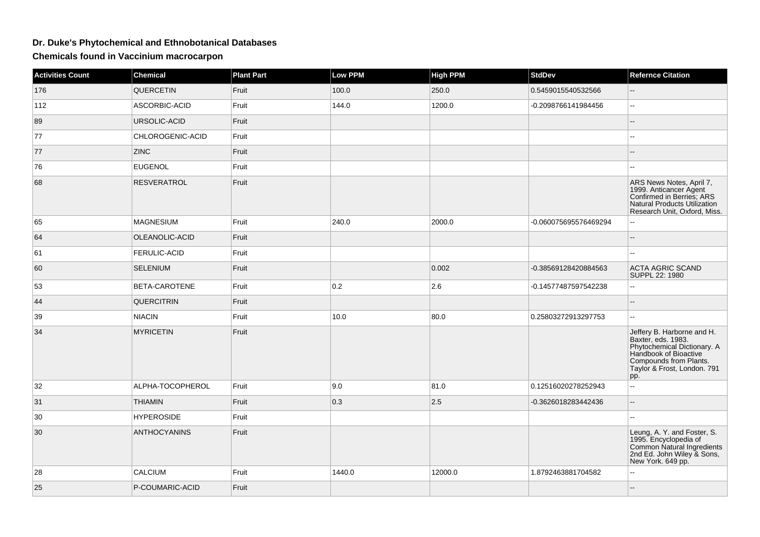## **Dr. Duke's Phytochemical and Ethnobotanical Databases**

**Chemicals found in Vaccinium macrocarpon**

| <b>Activities Count</b> | Chemical            | <b>Plant Part</b> | Low PPM | <b>High PPM</b> | <b>StdDev</b>         | <b>Refernce Citation</b>                                                                                                                                                 |
|-------------------------|---------------------|-------------------|---------|-----------------|-----------------------|--------------------------------------------------------------------------------------------------------------------------------------------------------------------------|
| 176                     | <b>QUERCETIN</b>    | Fruit             | 100.0   | 250.0           | 0.5459015540532566    |                                                                                                                                                                          |
| 112                     | ASCORBIC-ACID       | Fruit             | 144.0   | 1200.0          | -0.2098766141984456   | Ξ.                                                                                                                                                                       |
| 89                      | URSOLIC-ACID        | Fruit             |         |                 |                       | $\overline{a}$                                                                                                                                                           |
| 77                      | CHLOROGENIC-ACID    | Fruit             |         |                 |                       |                                                                                                                                                                          |
| 77                      | <b>ZINC</b>         | Fruit             |         |                 |                       |                                                                                                                                                                          |
| 76                      | <b>EUGENOL</b>      | Fruit             |         |                 |                       | шш.                                                                                                                                                                      |
| 68                      | <b>RESVERATROL</b>  | Fruit             |         |                 |                       | ARS News Notes, April 7,<br>1999. Anticancer Agent<br>Confirmed in Berries; ARS<br>Natural Products Utilization<br>Research Unit, Oxford, Miss.                          |
| 65                      | <b>MAGNESIUM</b>    | Fruit             | 240.0   | 2000.0          | -0.060075695576469294 |                                                                                                                                                                          |
| 64                      | OLEANOLIC-ACID      | Fruit             |         |                 |                       | --                                                                                                                                                                       |
| 61                      | FERULIC-ACID        | Fruit             |         |                 |                       | $\overline{a}$                                                                                                                                                           |
| 60                      | <b>SELENIUM</b>     | Fruit             |         | 0.002           | -0.38569128420884563  | <b>ACTA AGRIC SCAND</b><br>SUPPL 22: 1980                                                                                                                                |
| 53                      | BETA-CAROTENE       | Fruit             | 0.2     | 2.6             | -0.14577487597542238  | Ξ.                                                                                                                                                                       |
| 44                      | <b>QUERCITRIN</b>   | Fruit             |         |                 |                       |                                                                                                                                                                          |
| 39                      | <b>NIACIN</b>       | Fruit             | 10.0    | 80.0            | 0.25803272913297753   | Ξ.                                                                                                                                                                       |
| 34                      | <b>MYRICETIN</b>    | Fruit             |         |                 |                       | Jeffery B. Harborne and H.<br>Baxter, eds. 1983.<br>Phytochemical Dictionary. A<br>Handbook of Bioactive<br>Compounds from Plants.<br>Taylor & Frost, London. 791<br>pp. |
| 32                      | ALPHA-TOCOPHEROL    | Fruit             | 9.0     | 81.0            | 0.12516020278252943   | --                                                                                                                                                                       |
| 31                      | <b>THIAMIN</b>      | Fruit             | 0.3     | 2.5             | -0.3626018283442436   | $\overline{a}$                                                                                                                                                           |
| 30                      | <b>HYPEROSIDE</b>   | Fruit             |         |                 |                       |                                                                                                                                                                          |
| 30                      | <b>ANTHOCYANINS</b> | Fruit             |         |                 |                       | Leung, A. Y. and Foster, S.<br>1995. Encyclopedia of<br>Common Natural Ingredients<br>2nd Ed. John Wiley & Sons,<br>New York. 649 pp.                                    |
| 28                      | CALCIUM             | Fruit             | 1440.0  | 12000.0         | 1.8792463881704582    | Щ,                                                                                                                                                                       |
| 25                      | P-COUMARIC-ACID     | Fruit             |         |                 |                       | $-$                                                                                                                                                                      |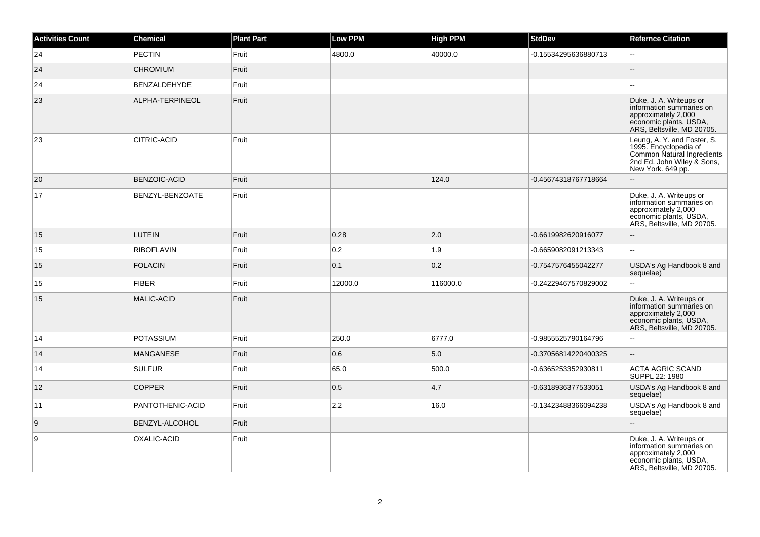| <b>Activities Count</b> | Chemical               | <b>Plant Part</b> | Low PPM | <b>High PPM</b> | <b>StdDev</b>        | <b>Refernce Citation</b>                                                                                                              |
|-------------------------|------------------------|-------------------|---------|-----------------|----------------------|---------------------------------------------------------------------------------------------------------------------------------------|
| 24                      | <b>PECTIN</b>          | Fruit             | 4800.0  | 40000.0         | -0.15534295636880713 | Ξ.                                                                                                                                    |
| 24                      | <b>CHROMIUM</b>        | Fruit             |         |                 |                      |                                                                                                                                       |
| 24                      | BENZALDEHYDE           | Fruit             |         |                 |                      | $\overline{a}$                                                                                                                        |
| 23                      | ALPHA-TERPINEOL        | Fruit             |         |                 |                      | Duke, J. A. Writeups or<br>information summaries on<br>approximately 2,000<br>economic plants, USDA,<br>ARS, Beltsville, MD 20705.    |
| 23                      | <b>CITRIC-ACID</b>     | Fruit             |         |                 |                      | Leung, A. Y. and Foster, S.<br>1995. Encyclopedia of<br>Common Natural Ingredients<br>2nd Ed. John Wiley & Sons,<br>New York. 649 pp. |
| 20                      | <b>BENZOIC-ACID</b>    | Fruit             |         | 124.0           | -0.45674318767718664 | --                                                                                                                                    |
| 17                      | <b>BENZYL-BENZOATE</b> | Fruit             |         |                 |                      | Duke, J. A. Writeups or<br>information summaries on<br>approximately 2,000<br>economic plants, USDA,<br>ARS, Beltsville, MD 20705.    |
| 15                      | <b>LUTEIN</b>          | Fruit             | 0.28    | 2.0             | -0.6619982620916077  | Ξ.                                                                                                                                    |
| 15                      | RIBOFLAVIN             | Fruit             | 0.2     | 1.9             | -0.6659082091213343  | L.                                                                                                                                    |
| 15                      | <b>FOLACIN</b>         | Fruit             | 0.1     | 0.2             | -0.7547576455042277  | USDA's Ag Handbook 8 and<br>sequelae)                                                                                                 |
| 15                      | FIBER                  | Fruit             | 12000.0 | 116000.0        | -0.24229467570829002 | L.                                                                                                                                    |
| 15                      | MALIC-ACID             | Fruit             |         |                 |                      | Duke, J. A. Writeups or<br>information summaries on<br>approximately 2,000<br>economic plants, USDA,<br>ARS, Beltsville, MD 20705.    |
| 14                      | <b>POTASSIUM</b>       | Fruit             | 250.0   | 6777.0          | -0.9855525790164796  | L.                                                                                                                                    |
| 14                      | <b>MANGANESE</b>       | Fruit             | 0.6     | 5.0             | -0.37056814220400325 |                                                                                                                                       |
| 14                      | SULFUR                 | Fruit             | 65.0    | 500.0           | -0.6365253352930811  | <b>ACTA AGRIC SCAND</b><br>SUPPL 22: 1980                                                                                             |
| 12                      | <b>COPPER</b>          | Fruit             | 0.5     | 4.7             | -0.6318936377533051  | USDA's Ag Handbook 8 and<br>sequelae)                                                                                                 |
| 11                      | PANTOTHENIC-ACID       | Fruit             | 2.2     | 16.0            | -0.13423488366094238 | USDA's Ag Handbook 8 and<br>sequelae)                                                                                                 |
| 9                       | BENZYL-ALCOHOL         | Fruit             |         |                 |                      | L.                                                                                                                                    |
| 9                       | OXALIC-ACID            | Fruit             |         |                 |                      | Duke, J. A. Writeups or<br>information summaries on<br>approximately 2,000<br>economic plants, USDA,<br>ARS, Beltsville, MD 20705.    |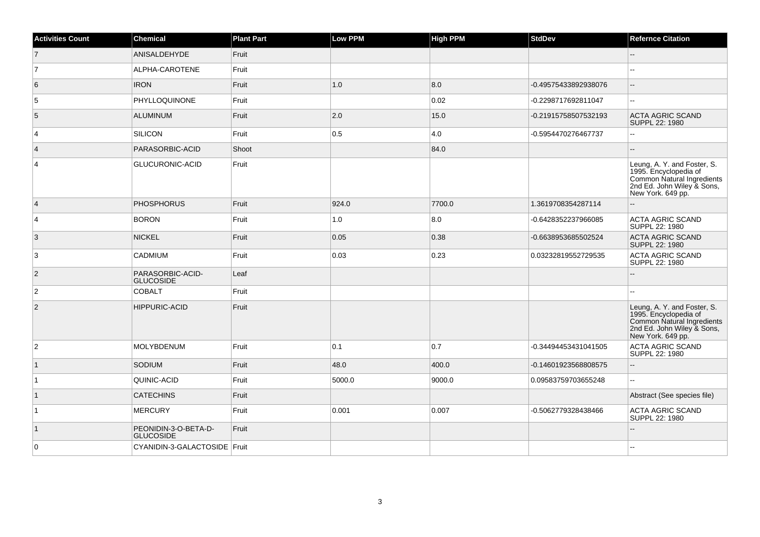| <b>Activities Count</b> | <b>Chemical</b>                          | <b>Plant Part</b> | <b>Low PPM</b> | <b>High PPM</b> | <b>StdDev</b>        | <b>Refernce Citation</b>                                                                                                              |
|-------------------------|------------------------------------------|-------------------|----------------|-----------------|----------------------|---------------------------------------------------------------------------------------------------------------------------------------|
| $\overline{7}$          | <b>ANISALDEHYDE</b>                      | Fruit             |                |                 |                      | --                                                                                                                                    |
| $\overline{7}$          | ALPHA-CAROTENE                           | Fruit             |                |                 |                      |                                                                                                                                       |
| 6                       | <b>IRON</b>                              | Fruit             | 1.0            | 8.0             | -0.49575433892938076 | $\overline{\phantom{a}}$                                                                                                              |
| 5                       | PHYLLOQUINONE                            | Fruit             |                | 0.02            | -0.2298717692811047  | $\sim$                                                                                                                                |
| $\sqrt{5}$              | <b>ALUMINUM</b>                          | Fruit             | 2.0            | 15.0            | -0.21915758507532193 | <b>ACTA AGRIC SCAND</b><br>SUPPL 22: 1980                                                                                             |
| $\overline{4}$          | <b>SILICON</b>                           | Fruit             | 0.5            | 4.0             | -0.5954470276467737  | Ξ.                                                                                                                                    |
| $\vert$ 4               | PARASORBIC-ACID                          | Shoot             |                | 84.0            |                      |                                                                                                                                       |
| $\overline{4}$          | GLUCURONIC-ACID                          | Fruit             |                |                 |                      | Leung, A. Y. and Foster, S.<br>1995. Encyclopedia of<br>Common Natural Ingredients<br>2nd Ed. John Wiley & Sons,<br>New York. 649 pp. |
| $\vert$ 4               | <b>PHOSPHORUS</b>                        | Fruit             | 924.0          | 7700.0          | 1.3619708354287114   | --                                                                                                                                    |
| $\vert$ 4               | <b>BORON</b>                             | Fruit             | 1.0            | 8.0             | -0.6428352237966085  | <b>ACTA AGRIC SCAND</b><br>SUPPL 22: 1980                                                                                             |
| 3                       | <b>NICKEL</b>                            | Fruit             | 0.05           | 0.38            | -0.6638953685502524  | <b>ACTA AGRIC SCAND</b><br>SUPPL 22: 1980                                                                                             |
| 3                       | CADMIUM                                  | Fruit             | 0.03           | 0.23            | 0.03232819552729535  | <b>ACTA AGRIC SCAND</b><br>SUPPL 22: 1980                                                                                             |
| $ 2\rangle$             | PARASORBIC-ACID-<br><b>GLUCOSIDE</b>     | Leaf              |                |                 |                      |                                                                                                                                       |
| $\overline{2}$          | <b>COBALT</b>                            | Fruit             |                |                 |                      |                                                                                                                                       |
| $\overline{2}$          | <b>HIPPURIC-ACID</b>                     | Fruit             |                |                 |                      | Leung, A. Y. and Foster, S.<br>1995. Encyclopedia of<br>Common Natural Ingredients<br>2nd Ed. John Wiley & Sons,<br>New York. 649 pp. |
| $\overline{2}$          | MOLYBDENUM                               | Fruit             | 0.1            | 0.7             | -0.34494453431041505 | <b>ACTA AGRIC SCAND</b><br>SUPPL 22: 1980                                                                                             |
| $\mathbf{1}$            | SODIUM                                   | Fruit             | 48.0           | 400.0           | -0.14601923568808575 |                                                                                                                                       |
| $\mathbf{1}$            | QUINIC-ACID                              | Fruit             | 5000.0         | 9000.0          | 0.09583759703655248  | Щ,                                                                                                                                    |
| $\vert$ 1               | <b>CATECHINS</b>                         | Fruit             |                |                 |                      | Abstract (See species file)                                                                                                           |
| $\overline{1}$          | <b>MERCURY</b>                           | Fruit             | 0.001          | 0.007           | -0.5062779328438466  | <b>ACTA AGRIC SCAND</b><br>SUPPL 22: 1980                                                                                             |
| $\overline{1}$          | PEONIDIN-3-O-BETA-D-<br><b>GLUCOSIDE</b> | Fruit             |                |                 |                      | $-$                                                                                                                                   |
| $\overline{0}$          | CYANIDIN-3-GALACTOSIDE   Fruit           |                   |                |                 |                      |                                                                                                                                       |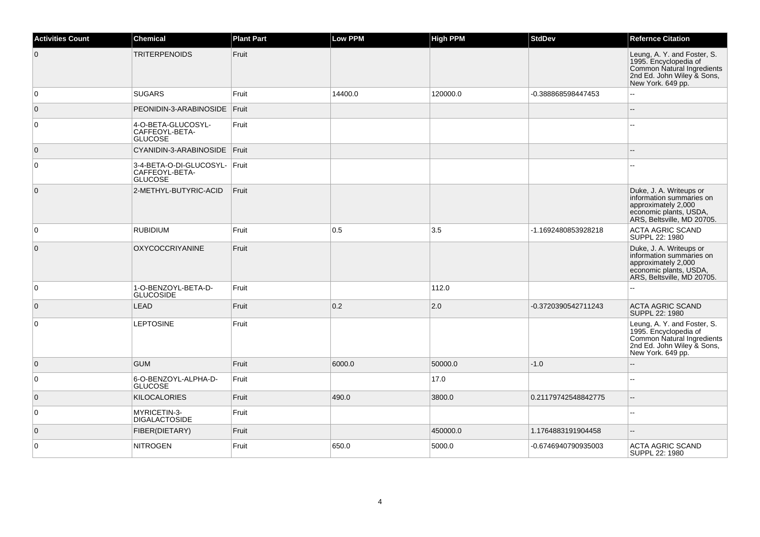| <b>Activities Count</b> | <b>Chemical</b>                                                   | <b>Plant Part</b> | <b>Low PPM</b> | <b>High PPM</b> | <b>StdDev</b>       | <b>Refernce Citation</b>                                                                                                              |
|-------------------------|-------------------------------------------------------------------|-------------------|----------------|-----------------|---------------------|---------------------------------------------------------------------------------------------------------------------------------------|
| $\overline{0}$          | <b>TRITERPENOIDS</b>                                              | Fruit             |                |                 |                     | Leung, A. Y. and Foster, S.<br>1995. Encyclopedia of<br>Common Natural Ingredients<br>2nd Ed. John Wiley & Sons,<br>New York. 649 pp. |
| $\overline{0}$          | <b>SUGARS</b>                                                     | Fruit             | 14400.0        | 120000.0        | -0.388868598447453  | $-$                                                                                                                                   |
| $\overline{0}$          | PEONIDIN-3-ARABINOSIDE                                            | Fruit             |                |                 |                     | $\sim$                                                                                                                                |
| $\overline{0}$          | 4-O-BETA-GLUCOSYL-<br>CAFFEOYL-BETA-<br><b>GLUCOSE</b>            | Fruit             |                |                 |                     | $\overline{a}$                                                                                                                        |
| $\overline{0}$          | CYANIDIN-3-ARABINOSIDE   Fruit                                    |                   |                |                 |                     |                                                                                                                                       |
| $\overline{0}$          | 3-4-BETA-O-DI-GLUCOSYL- Fruit<br>CAFFEOYL-BETA-<br><b>GLUCOSE</b> |                   |                |                 |                     | $\sim$                                                                                                                                |
| $\overline{0}$          | 2-METHYL-BUTYRIC-ACID                                             | Fruit             |                |                 |                     | Duke, J. A. Writeups or<br>information summaries on<br>approximately 2,000<br>economic plants, USDA,<br>ARS, Beltsville, MD 20705.    |
| $\overline{0}$          | <b>RUBIDIUM</b>                                                   | Fruit             | 0.5            | 3.5             | -1.1692480853928218 | <b>ACTA AGRIC SCAND</b><br>SUPPL 22: 1980                                                                                             |
| $\overline{0}$          | <b>OXYCOCCRIYANINE</b>                                            | Fruit             |                |                 |                     | Duke, J. A. Writeups or<br>information summaries on<br>approximately 2,000<br>economic plants, USDA,<br>ARS, Beltsville, MD 20705.    |
| $\overline{0}$          | 1-O-BENZOYL-BETA-D-<br><b>GLUCOSIDE</b>                           | Fruit             |                | 112.0           |                     |                                                                                                                                       |
| $\overline{0}$          | <b>LEAD</b>                                                       | Fruit             | 0.2            | 2.0             | -0.3720390542711243 | <b>ACTA AGRIC SCAND</b><br>SUPPL 22: 1980                                                                                             |
| $\overline{0}$          | <b>LEPTOSINE</b>                                                  | Fruit             |                |                 |                     | Leung, A. Y. and Foster, S.<br>1995. Encyclopedia of<br>Common Natural Ingredients<br>2nd Ed. John Wiley & Sons,<br>New York. 649 pp. |
| $\overline{0}$          | <b>GUM</b>                                                        | Fruit             | 6000.0         | 50000.0         | $-1.0$              | $\sim$                                                                                                                                |
| $\overline{0}$          | 6-O-BENZOYL-ALPHA-D-<br><b>GLUCOSE</b>                            | Fruit             |                | 17.0            |                     | $\overline{\phantom{a}}$                                                                                                              |
| $\overline{0}$          | <b>KILOCALORIES</b>                                               | Fruit             | 490.0          | 3800.0          | 0.21179742548842775 | $\sim$                                                                                                                                |
| $\overline{0}$          | MYRICETIN-3-<br><b>DIGALACTOSIDE</b>                              | Fruit             |                |                 |                     | $\overline{a}$                                                                                                                        |
| $\overline{0}$          | FIBER(DIETARY)                                                    | Fruit             |                | 450000.0        | 1.1764883191904458  |                                                                                                                                       |
| $\overline{0}$          | <b>NITROGEN</b>                                                   | Fruit             | 650.0          | 5000.0          | -0.6746940790935003 | <b>ACTA AGRIC SCAND</b><br>SUPPL 22: 1980                                                                                             |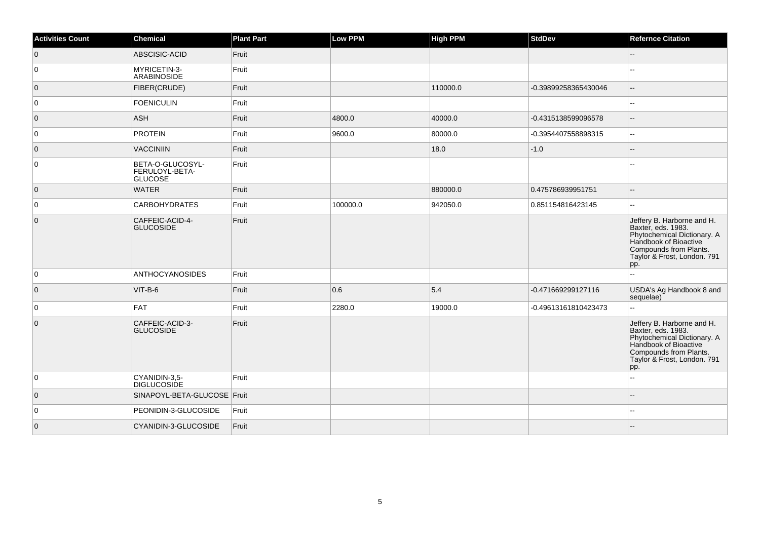| <b>Activities Count</b> | <b>Chemical</b>                                      | <b>Plant Part</b> | <b>Low PPM</b> | High PPM | <b>StdDev</b>        | <b>Refernce Citation</b>                                                                                                                                                 |
|-------------------------|------------------------------------------------------|-------------------|----------------|----------|----------------------|--------------------------------------------------------------------------------------------------------------------------------------------------------------------------|
| $\overline{0}$          | ABSCISIC-ACID                                        | Fruit             |                |          |                      | $\overline{\phantom{a}}$                                                                                                                                                 |
| 0                       | MYRICETIN-3-<br>ARABINOSIDE                          | Fruit             |                |          |                      |                                                                                                                                                                          |
| $\overline{0}$          | FIBER(CRUDE)                                         | Fruit             |                | 110000.0 | -0.39899258365430046 | $\overline{\phantom{a}}$                                                                                                                                                 |
| 0                       | <b>FOENICULIN</b>                                    | Fruit             |                |          |                      | Ξ.                                                                                                                                                                       |
| $\overline{0}$          | ASH                                                  | Fruit             | 4800.0         | 40000.0  | -0.4315138599096578  | $\overline{a}$                                                                                                                                                           |
| $\overline{0}$          | <b>PROTEIN</b>                                       | Fruit             | 9600.0         | 80000.0  | -0.3954407558898315  | $\overline{a}$                                                                                                                                                           |
| $\overline{0}$          | <b>VACCINIIN</b>                                     | Fruit             |                | 18.0     | $-1.0$               | $\overline{\phantom{a}}$                                                                                                                                                 |
| $\overline{0}$          | BETA-O-GLUCOSYL-<br>FERULOYL-BETA-<br><b>GLUCOSE</b> | Fruit             |                |          |                      |                                                                                                                                                                          |
| $\overline{0}$          | <b>WATER</b>                                         | Fruit             |                | 880000.0 | 0.475786939951751    | $\overline{\phantom{a}}$                                                                                                                                                 |
| 0                       | <b>CARBOHYDRATES</b>                                 | Fruit             | 100000.0       | 942050.0 | 0.851154816423145    | $\sim$                                                                                                                                                                   |
| $\overline{0}$          | CAFFEIC-ACID-4-<br><b>GLUCOSIDE</b>                  | Fruit             |                |          |                      | Jeffery B. Harborne and H.<br>Baxter, eds. 1983.<br>Phytochemical Dictionary. A<br>Handbook of Bioactive<br>Compounds from Plants.<br>Taylor & Frost, London. 791<br>pp. |
| 0                       | <b>ANTHOCYANOSIDES</b>                               | Fruit             |                |          |                      | $\sim$                                                                                                                                                                   |
| $\overline{0}$          | VIT-B-6                                              | Fruit             | 0.6            | 5.4      | -0.471669299127116   | USDA's Ag Handbook 8 and<br>sequelae)                                                                                                                                    |
| 0                       | <b>FAT</b>                                           | Fruit             | 2280.0         | 19000.0  | -0.49613161810423473 | $\ddotsc$                                                                                                                                                                |
| $\overline{0}$          | CAFFEIC-ACID-3-<br><b>GLUCOSIDE</b>                  | Fruit             |                |          |                      | Jeffery B. Harborne and H.<br>Baxter, eds. 1983.<br>Phytochemical Dictionary. A<br>Handbook of Bioactive<br>Compounds from Plants.<br>Taylor & Frost, London. 791<br>pp. |
| $\overline{0}$          | CYANIDIN-3,5-<br><b>DIGLUCOSIDE</b>                  | Fruit             |                |          |                      |                                                                                                                                                                          |
| $\overline{0}$          | SINAPOYL-BETA-GLUCOSE Fruit                          |                   |                |          |                      |                                                                                                                                                                          |
| 0                       | PEONIDIN-3-GLUCOSIDE                                 | Fruit             |                |          |                      | $-$                                                                                                                                                                      |
| $\overline{0}$          | CYANIDIN-3-GLUCOSIDE                                 | Fruit             |                |          |                      |                                                                                                                                                                          |